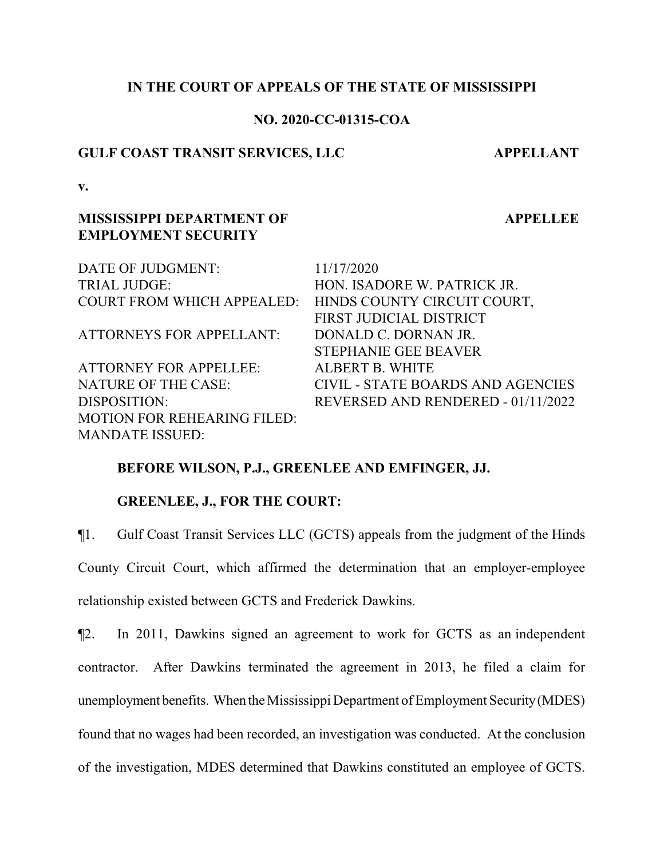## **IN THE COURT OF APPEALS OF THE STATE OF MISSISSIPPI**

### **NO. 2020-CC-01315-COA**

### **GULF COAST TRANSIT SERVICES, LLC APPELLANT**

**v.**

## **MISSISSIPPI DEPARTMENT OF EMPLOYMENT SECURITY**

**APPELLEE**

| DATE OF JUDGMENT:                                      | 11/17/2020                         |
|--------------------------------------------------------|------------------------------------|
| <b>TRIAL JUDGE:</b>                                    | HON. ISADORE W. PATRICK JR.        |
| COURT FROM WHICH APPEALED: HINDS COUNTY CIRCUIT COURT, |                                    |
|                                                        | FIRST JUDICIAL DISTRICT            |
| <b>ATTORNEYS FOR APPELLANT:</b>                        | DONALD C. DORNAN JR.               |
|                                                        | <b>STEPHANIE GEE BEAVER</b>        |
| <b>ATTORNEY FOR APPELLEE:</b>                          | <b>ALBERT B. WHITE</b>             |
| <b>NATURE OF THE CASE:</b>                             | CIVIL - STATE BOARDS AND AGENCIES  |
| DISPOSITION:                                           | REVERSED AND RENDERED - 01/11/2022 |
| <b>MOTION FOR REHEARING FILED:</b>                     |                                    |
| <b>MANDATE ISSUED:</b>                                 |                                    |

## **BEFORE WILSON, P.J., GREENLEE AND EMFINGER, JJ.**

## **GREENLEE, J., FOR THE COURT:**

¶1. Gulf Coast Transit Services LLC (GCTS) appeals from the judgment of the Hinds County Circuit Court, which affirmed the determination that an employer-employee relationship existed between GCTS and Frederick Dawkins.

¶2. In 2011, Dawkins signed an agreement to work for GCTS as an independent contractor. After Dawkins terminated the agreement in 2013, he filed a claim for unemployment benefits. When the Mississippi Department of Employment Security (MDES) found that no wages had been recorded, an investigation was conducted. At the conclusion of the investigation, MDES determined that Dawkins constituted an employee of GCTS.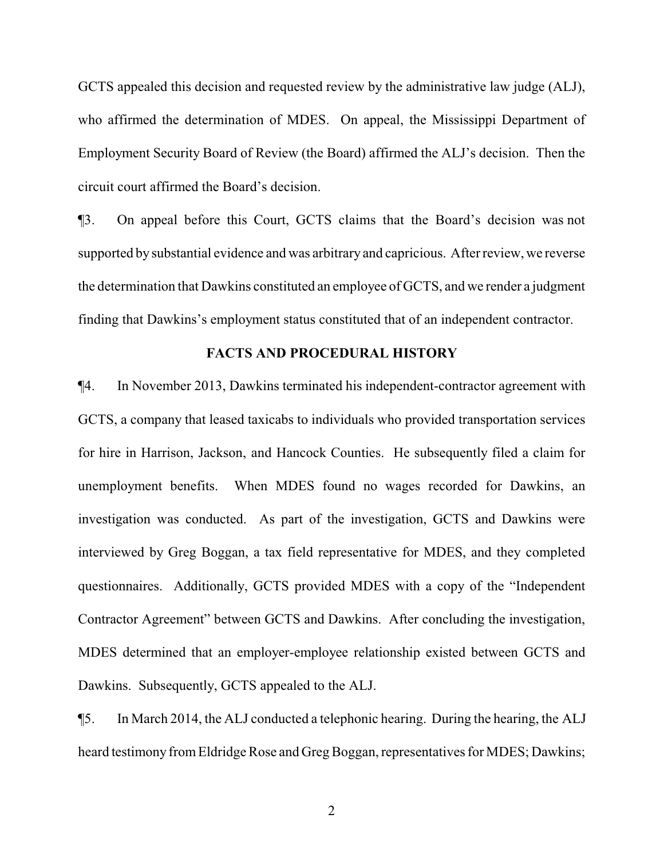GCTS appealed this decision and requested review by the administrative law judge (ALJ), who affirmed the determination of MDES. On appeal, the Mississippi Department of Employment Security Board of Review (the Board) affirmed the ALJ's decision. Then the circuit court affirmed the Board's decision.

¶3. On appeal before this Court, GCTS claims that the Board's decision was not supported by substantial evidence and was arbitrary and capricious. After review, we reverse the determination that Dawkins constituted an employee of GCTS, and we render a judgment finding that Dawkins's employment status constituted that of an independent contractor.

#### **FACTS AND PROCEDURAL HISTORY**

¶4. In November 2013, Dawkins terminated his independent-contractor agreement with GCTS, a company that leased taxicabs to individuals who provided transportation services for hire in Harrison, Jackson, and Hancock Counties. He subsequently filed a claim for unemployment benefits. When MDES found no wages recorded for Dawkins, an investigation was conducted. As part of the investigation, GCTS and Dawkins were interviewed by Greg Boggan, a tax field representative for MDES, and they completed questionnaires. Additionally, GCTS provided MDES with a copy of the "Independent Contractor Agreement" between GCTS and Dawkins. After concluding the investigation, MDES determined that an employer-employee relationship existed between GCTS and Dawkins. Subsequently, GCTS appealed to the ALJ.

¶5. In March 2014, the ALJ conducted a telephonic hearing. During the hearing, the ALJ heard testimony fromEldridge Rose and Greg Boggan, representatives for MDES; Dawkins;

2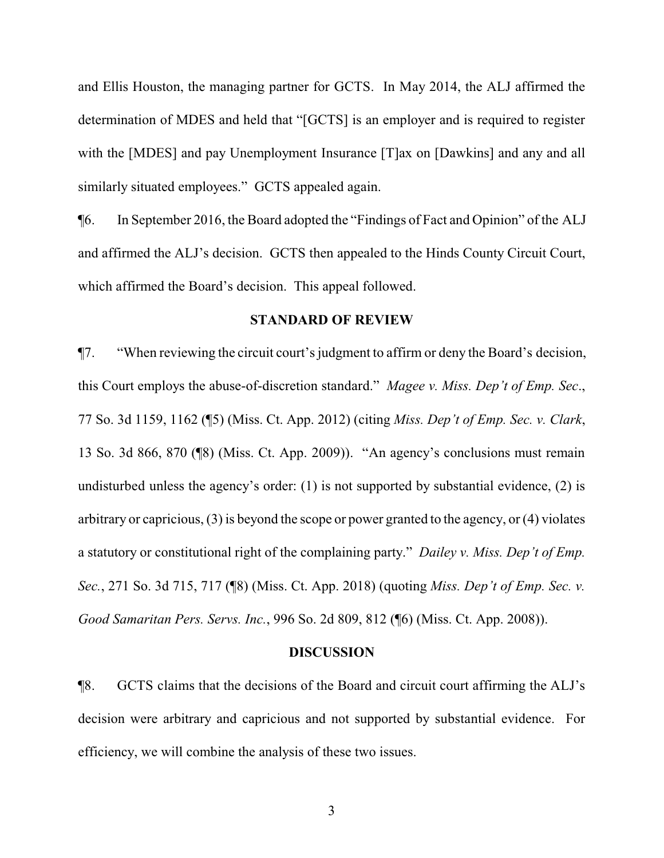and Ellis Houston, the managing partner for GCTS. In May 2014, the ALJ affirmed the determination of MDES and held that "[GCTS] is an employer and is required to register with the [MDES] and pay Unemployment Insurance [T]ax on [Dawkins] and any and all similarly situated employees." GCTS appealed again.

¶6. In September 2016, the Board adopted the "Findings of Fact and Opinion" of the ALJ and affirmed the ALJ's decision. GCTS then appealed to the Hinds County Circuit Court, which affirmed the Board's decision. This appeal followed.

### **STANDARD OF REVIEW**

¶7. "When reviewing the circuit court's judgment to affirm or deny the Board's decision, this Court employs the abuse-of-discretion standard." *Magee v. Miss. Dep't of Emp. Sec*., 77 So. 3d 1159, 1162 (¶5) (Miss. Ct. App. 2012) (citing *Miss. Dep't of Emp. Sec. v. Clark*, 13 So. 3d 866, 870 (¶8) (Miss. Ct. App. 2009)). "An agency's conclusions must remain undisturbed unless the agency's order: (1) is not supported by substantial evidence, (2) is arbitrary or capricious, (3) is beyond the scope or power granted to the agency, or (4) violates a statutory or constitutional right of the complaining party." *Dailey v. Miss. Dep't of Emp. Sec.*, 271 So. 3d 715, 717 (¶8) (Miss. Ct. App. 2018) (quoting *Miss. Dep't of Emp. Sec. v. Good Samaritan Pers. Servs. Inc.*, 996 So. 2d 809, 812 (¶6) (Miss. Ct. App. 2008)).

#### **DISCUSSION**

¶8. GCTS claims that the decisions of the Board and circuit court affirming the ALJ's decision were arbitrary and capricious and not supported by substantial evidence. For efficiency, we will combine the analysis of these two issues.

3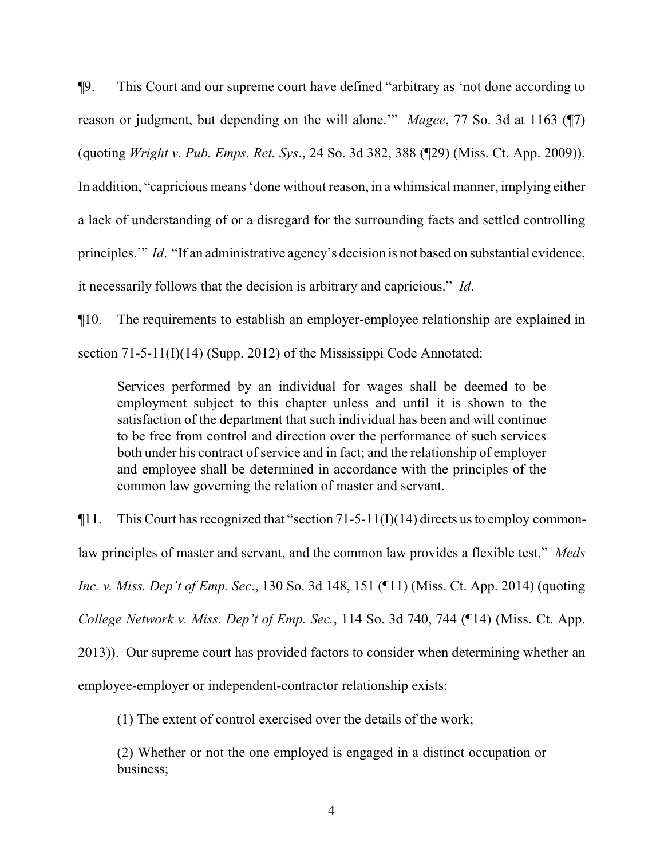¶9. This Court and our supreme court have defined "arbitrary as 'not done according to reason or judgment, but depending on the will alone.'" *Magee*, 77 So. 3d at 1163 (¶7) (quoting *Wright v. Pub. Emps. Ret. Sys*., 24 So. 3d 382, 388 (¶29) (Miss. Ct. App. 2009)). In addition, "capricious means 'done without reason, in a whimsical manner, implying either a lack of understanding of or a disregard for the surrounding facts and settled controlling principles.'" *Id*. "If an administrative agency's decision is not based on substantial evidence, it necessarily follows that the decision is arbitrary and capricious." *Id*.

¶10. The requirements to establish an employer-employee relationship are explained in section 71-5-11(I)(14) (Supp. 2012) of the Mississippi Code Annotated:

Services performed by an individual for wages shall be deemed to be employment subject to this chapter unless and until it is shown to the satisfaction of the department that such individual has been and will continue to be free from control and direction over the performance of such services both under his contract of service and in fact; and the relationship of employer and employee shall be determined in accordance with the principles of the common law governing the relation of master and servant.

 $\P$ 11. This Court has recognized that "section 71-5-11(I)(14) directs us to employ commonlaw principles of master and servant, and the common law provides a flexible test." *Meds Inc. v. Miss. Dep't of Emp. Sec*., 130 So. 3d 148, 151 (¶11) (Miss. Ct. App. 2014) (quoting *College Network v. Miss. Dep't of Emp. Sec.*, 114 So. 3d 740, 744 (¶14) (Miss. Ct. App. 2013)). Our supreme court has provided factors to consider when determining whether an employee-employer or independent-contractor relationship exists:

(1) The extent of control exercised over the details of the work;

(2) Whether or not the one employed is engaged in a distinct occupation or business;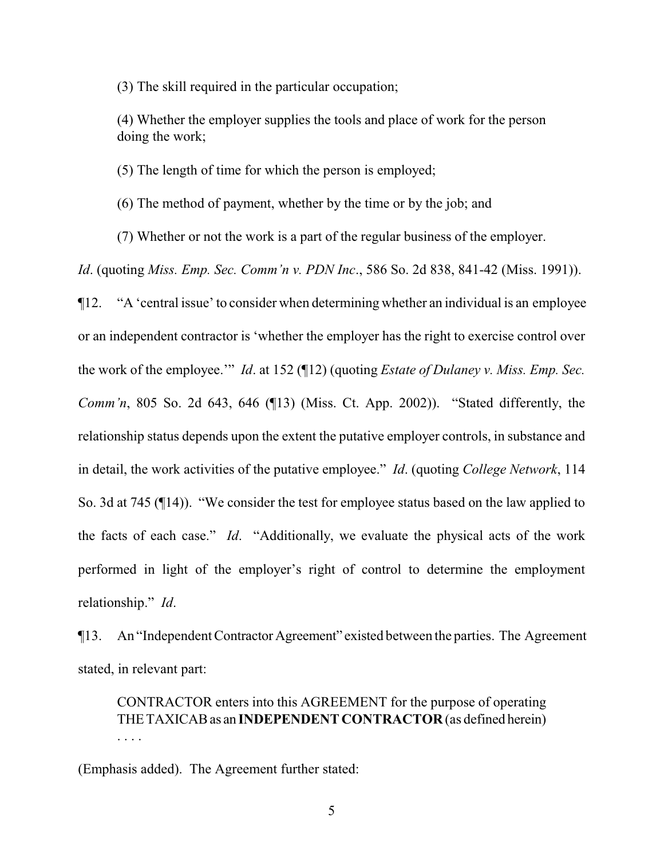(3) The skill required in the particular occupation;

(4) Whether the employer supplies the tools and place of work for the person doing the work;

(5) The length of time for which the person is employed;

(6) The method of payment, whether by the time or by the job; and

(7) Whether or not the work is a part of the regular business of the employer.

*Id*. (quoting *Miss. Emp. Sec. Comm'n v. PDN Inc*., 586 So. 2d 838, 841-42 (Miss. 1991)).

¶12. "A 'central issue' to consider when determining whether an individual is an employee or an independent contractor is 'whether the employer has the right to exercise control over the work of the employee.'" *Id*. at 152 (¶12) (quoting *Estate of Dulaney v. Miss. Emp. Sec. Comm'n*, 805 So. 2d 643, 646 (¶13) (Miss. Ct. App. 2002)). "Stated differently, the relationship status depends upon the extent the putative employer controls, in substance and in detail, the work activities of the putative employee." *Id*. (quoting *College Network*, 114 So. 3d at 745 (¶14)). "We consider the test for employee status based on the law applied to the facts of each case." *Id*. "Additionally, we evaluate the physical acts of the work performed in light of the employer's right of control to determine the employment relationship." *Id*.

¶13. An "Independent ContractorAgreement" existed between the parties. The Agreement stated, in relevant part:

CONTRACTOR enters into this AGREEMENT for the purpose of operating THETAXICABas an **INDEPENDENT CONTRACTOR** (as defined herein) . . . .

(Emphasis added). The Agreement further stated: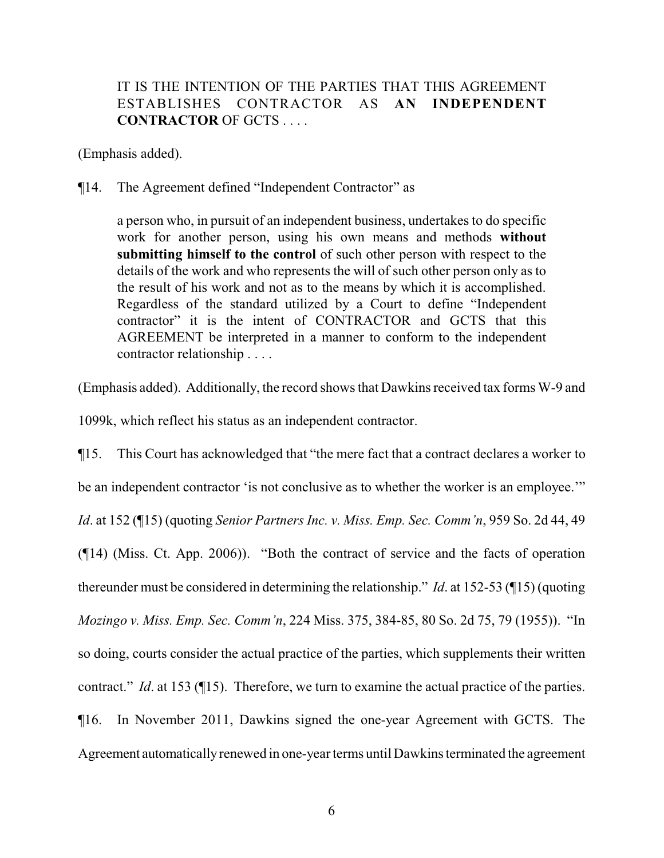## IT IS THE INTENTION OF THE PARTIES THAT THIS AGREEMENT ESTABLISHES CONTRACTOR AS **AN INDEPENDENT CONTRACTOR** OF GCTS . . . .

(Emphasis added).

¶14. The Agreement defined "Independent Contractor" as

a person who, in pursuit of an independent business, undertakes to do specific work for another person, using his own means and methods **without submitting himself to the control** of such other person with respect to the details of the work and who represents the will of such other person only as to the result of his work and not as to the means by which it is accomplished. Regardless of the standard utilized by a Court to define "Independent contractor" it is the intent of CONTRACTOR and GCTS that this AGREEMENT be interpreted in a manner to conform to the independent contractor relationship . . . .

(Emphasis added). Additionally, the record shows that Dawkins received tax forms W-9 and

1099k, which reflect his status as an independent contractor.

¶15. This Court has acknowledged that "the mere fact that a contract declares a worker to be an independent contractor 'is not conclusive as to whether the worker is an employee.'" *Id*. at 152 (¶15) (quoting *Senior Partners Inc. v. Miss. Emp. Sec. Comm'n*, 959 So. 2d 44, 49 (¶14) (Miss. Ct. App. 2006)). "Both the contract of service and the facts of operation thereunder must be considered in determining the relationship." *Id*. at 152-53 (¶15) (quoting *Mozingo v. Miss. Emp. Sec. Comm'n*, 224 Miss. 375, 384-85, 80 So. 2d 75, 79 (1955)). "In so doing, courts consider the actual practice of the parties, which supplements their written contract." *Id*. at 153 (¶15). Therefore, we turn to examine the actual practice of the parties. ¶16. In November 2011, Dawkins signed the one-year Agreement with GCTS. The Agreement automaticallyrenewed in one-year terms until Dawkins terminated the agreement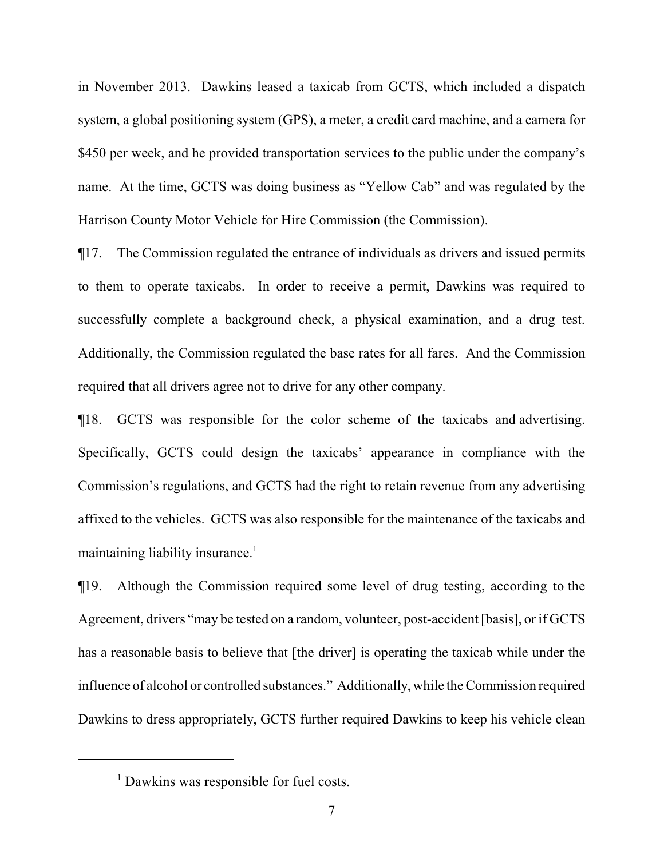in November 2013. Dawkins leased a taxicab from GCTS, which included a dispatch system, a global positioning system (GPS), a meter, a credit card machine, and a camera for \$450 per week, and he provided transportation services to the public under the company's name. At the time, GCTS was doing business as "Yellow Cab" and was regulated by the Harrison County Motor Vehicle for Hire Commission (the Commission).

¶17. The Commission regulated the entrance of individuals as drivers and issued permits to them to operate taxicabs. In order to receive a permit, Dawkins was required to successfully complete a background check, a physical examination, and a drug test. Additionally, the Commission regulated the base rates for all fares. And the Commission required that all drivers agree not to drive for any other company.

¶18. GCTS was responsible for the color scheme of the taxicabs and advertising. Specifically, GCTS could design the taxicabs' appearance in compliance with the Commission's regulations, and GCTS had the right to retain revenue from any advertising affixed to the vehicles. GCTS was also responsible for the maintenance of the taxicabs and maintaining liability insurance.<sup>1</sup>

¶19. Although the Commission required some level of drug testing, according to the Agreement, drivers "may be tested on a random, volunteer, post-accident [basis], or if GCTS has a reasonable basis to believe that [the driver] is operating the taxicab while under the influence of alcohol or controlled substances." Additionally, while the Commission required Dawkins to dress appropriately, GCTS further required Dawkins to keep his vehicle clean

<sup>&</sup>lt;sup>1</sup> Dawkins was responsible for fuel costs.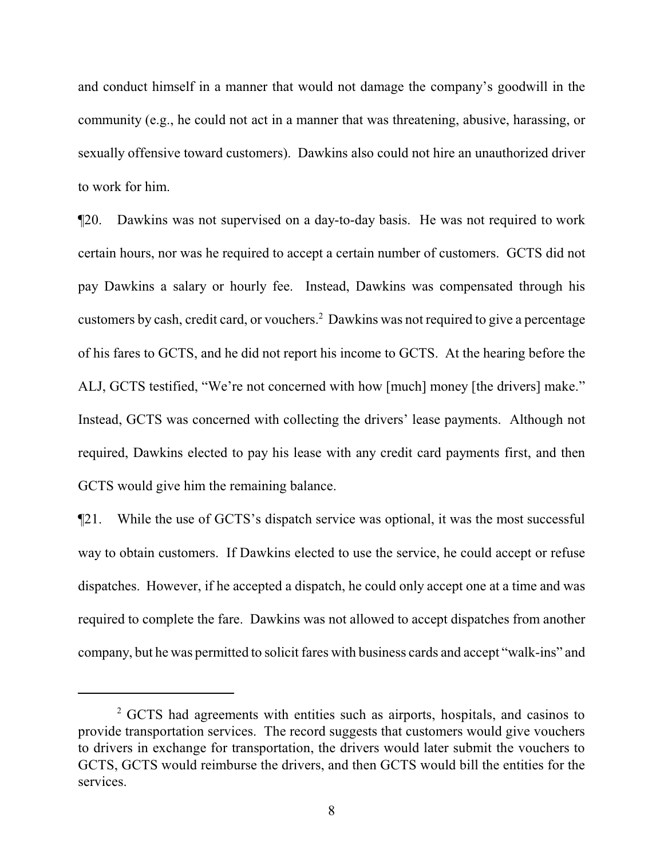and conduct himself in a manner that would not damage the company's goodwill in the community (e.g., he could not act in a manner that was threatening, abusive, harassing, or sexually offensive toward customers). Dawkins also could not hire an unauthorized driver to work for him.

¶20. Dawkins was not supervised on a day-to-day basis. He was not required to work certain hours, nor was he required to accept a certain number of customers. GCTS did not pay Dawkins a salary or hourly fee. Instead, Dawkins was compensated through his customers by cash, credit card, or vouchers.<sup>2</sup> Dawkins was not required to give a percentage of his fares to GCTS, and he did not report his income to GCTS. At the hearing before the ALJ, GCTS testified, "We're not concerned with how [much] money [the drivers] make." Instead, GCTS was concerned with collecting the drivers' lease payments. Although not required, Dawkins elected to pay his lease with any credit card payments first, and then GCTS would give him the remaining balance.

¶21. While the use of GCTS's dispatch service was optional, it was the most successful way to obtain customers. If Dawkins elected to use the service, he could accept or refuse dispatches. However, if he accepted a dispatch, he could only accept one at a time and was required to complete the fare. Dawkins was not allowed to accept dispatches from another company, but he was permitted to solicit fares with business cards and accept "walk-ins" and

<sup>&</sup>lt;sup>2</sup> GCTS had agreements with entities such as airports, hospitals, and casinos to provide transportation services. The record suggests that customers would give vouchers to drivers in exchange for transportation, the drivers would later submit the vouchers to GCTS, GCTS would reimburse the drivers, and then GCTS would bill the entities for the services.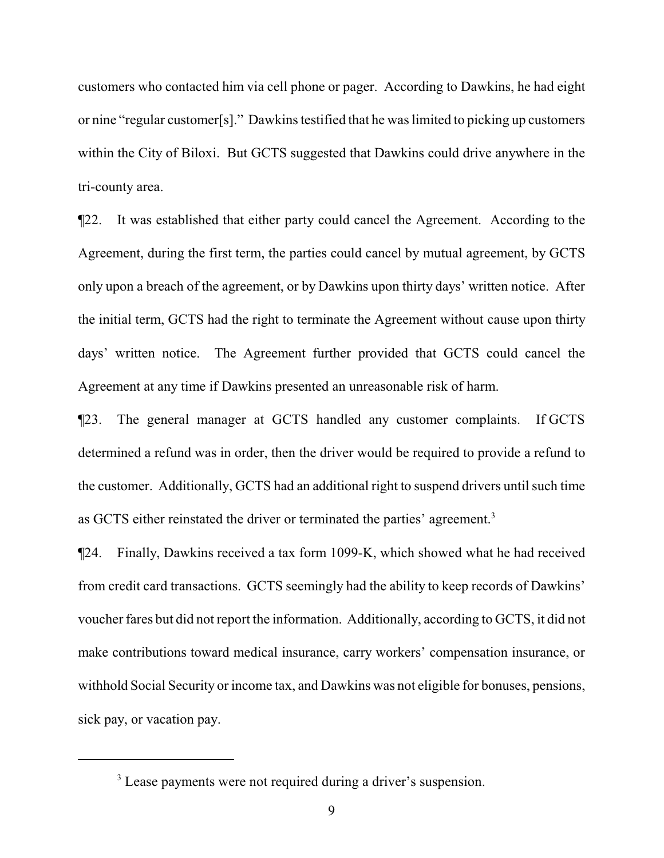customers who contacted him via cell phone or pager. According to Dawkins, he had eight or nine "regular customer[s]." Dawkins testified that he was limited to picking up customers within the City of Biloxi. But GCTS suggested that Dawkins could drive anywhere in the tri-county area.

¶22. It was established that either party could cancel the Agreement. According to the Agreement, during the first term, the parties could cancel by mutual agreement, by GCTS only upon a breach of the agreement, or by Dawkins upon thirty days' written notice. After the initial term, GCTS had the right to terminate the Agreement without cause upon thirty days' written notice. The Agreement further provided that GCTS could cancel the Agreement at any time if Dawkins presented an unreasonable risk of harm.

¶23. The general manager at GCTS handled any customer complaints. If GCTS determined a refund was in order, then the driver would be required to provide a refund to the customer. Additionally, GCTS had an additional right to suspend drivers until such time as GCTS either reinstated the driver or terminated the parties' agreement.<sup>3</sup>

¶24. Finally, Dawkins received a tax form 1099-K, which showed what he had received from credit card transactions. GCTS seemingly had the ability to keep records of Dawkins' voucher fares but did not report the information. Additionally, according to GCTS, it did not make contributions toward medical insurance, carry workers' compensation insurance, or withhold Social Security or income tax, and Dawkins was not eligible for bonuses, pensions, sick pay, or vacation pay.

<sup>&</sup>lt;sup>3</sup> Lease payments were not required during a driver's suspension.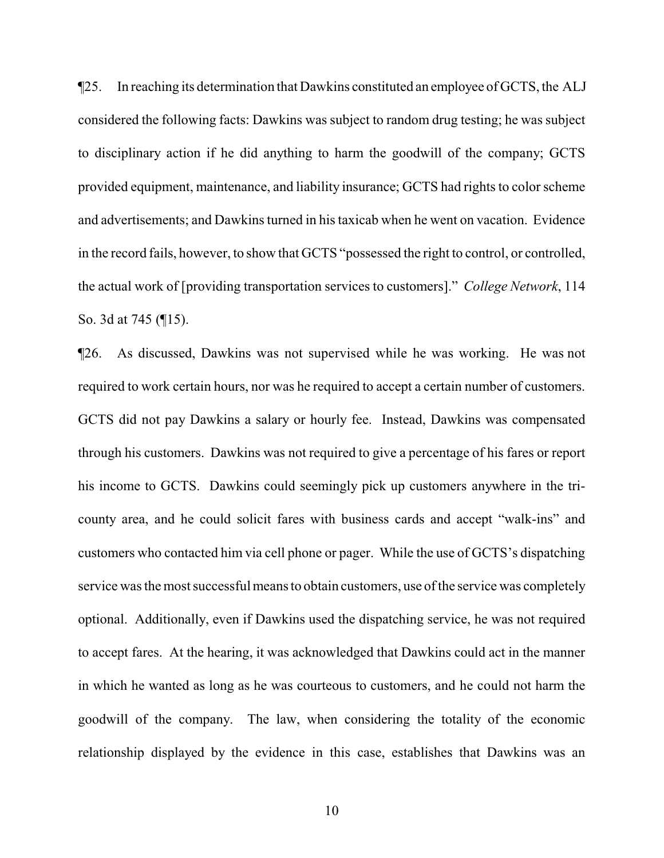¶25. In reaching its determination that Dawkins constituted an employee of GCTS, the ALJ considered the following facts: Dawkins was subject to random drug testing; he was subject to disciplinary action if he did anything to harm the goodwill of the company; GCTS provided equipment, maintenance, and liability insurance; GCTS had rights to color scheme and advertisements; and Dawkins turned in his taxicab when he went on vacation. Evidence in the record fails, however, to show that GCTS "possessed the right to control, or controlled, the actual work of [providing transportation services to customers]." *College Network*, 114 So. 3d at 745 (¶15).

¶26. As discussed, Dawkins was not supervised while he was working. He was not required to work certain hours, nor was he required to accept a certain number of customers. GCTS did not pay Dawkins a salary or hourly fee. Instead, Dawkins was compensated through his customers. Dawkins was not required to give a percentage of his fares or report his income to GCTS. Dawkins could seemingly pick up customers anywhere in the tricounty area, and he could solicit fares with business cards and accept "walk-ins" and customers who contacted him via cell phone or pager. While the use of GCTS's dispatching service was the most successful means to obtain customers, use of the service was completely optional. Additionally, even if Dawkins used the dispatching service, he was not required to accept fares. At the hearing, it was acknowledged that Dawkins could act in the manner in which he wanted as long as he was courteous to customers, and he could not harm the goodwill of the company. The law, when considering the totality of the economic relationship displayed by the evidence in this case, establishes that Dawkins was an